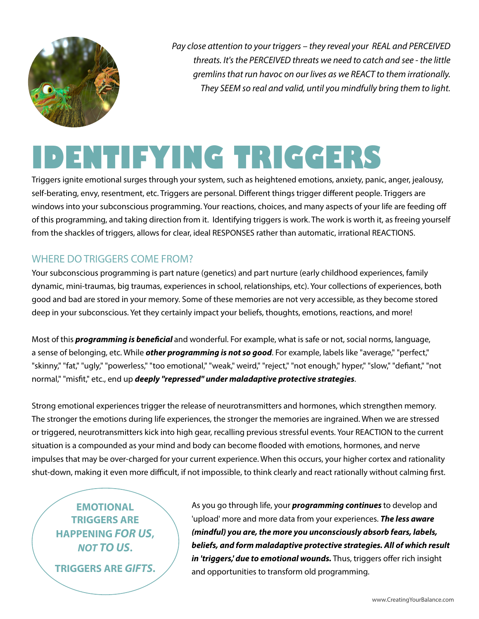

*Pay close attention to your triggers – they reveal your REAL and PERCEIVED threats. It's the PERCEIVED threats we need to catch and see - the little gremlins that run havoc on our lives as we REACT to them irrationally. They SEEM so real and valid, until you mindfully bring them to light.*

# **IDENTIFYING TRIGGERS**

Triggers ignite emotional surges through your system, such as heightened emotions, anxiety, panic, anger, jealousy, self-berating, envy, resentment, etc. Triggers are personal. Different things trigger different people. Triggers are windows into your subconscious programming. Your reactions, choices, and many aspects of your life are feeding off of this programming, and taking direction from it. Identifying triggers is work. The work is worth it, as freeing yourself from the shackles of triggers, allows for clear, ideal RESPONSES rather than automatic, irrational REACTIONS.

# WHERE DO TRIGGERS COME FROM?

Your subconscious programming is part nature (genetics) and part nurture (early childhood experiences, family dynamic, mini-traumas, big traumas, experiences in school, relationships, etc). Your collections of experiences, both good and bad are stored in your memory. Some of these memories are not very accessible, as they become stored deep in your subconscious. Yet they certainly impact your beliefs, thoughts, emotions, reactions, and more!

Most of this *programming is beneficial* and wonderful. For example, what is safe or not, social norms, language, a sense of belonging, etc. While *other programming is not so good*. For example, labels like "average," "perfect," "skinny," "fat," "ugly," "powerless," "too emotional," "weak," weird," "reject," "not enough," hyper," "slow," "defiant," "not normal," "misfit," etc., end up *deeply "repressed" under maladaptive protective strategies*.

Strong emotional experiences trigger the release of neurotransmitters and hormones, which strengthen memory. The stronger the emotions during life experiences, the stronger the memories are ingrained. When we are stressed or triggered, neurotransmitters kick into high gear, recalling previous stressful events. Your REACTION to the current situation is a compounded as your mind and body can become flooded with emotions, hormones, and nerve impulses that may be over-charged for your current experience. When this occurs, your higher cortex and rationality shut-down, making it even more difficult, if not impossible, to think clearly and react rationally without calming first.

**EMOTIONAL TRIGGERS ARE HAPPENING** *FOR US***,**  *NOT TO US***.**

**TRIGGERS ARE** *GIFTS***.**

As you go through life, your *programming continues* to develop and 'upload' more and more data from your experiences. *The less aware (mindful) you are, the more you unconsciously absorb fears, labels, beliefs, and form maladaptive protective strategies. All of which result in 'triggers,' due to emotional wounds.* Thus, triggers offer rich insight and opportunities to transform old programming.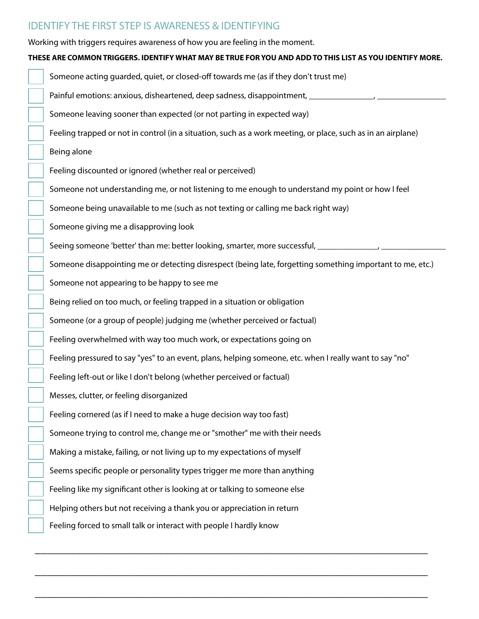## IDENTIFY THE FIRST STEP IS AWARENESS & IDENTIFYING

Working with triggers requires awareness of how you are feeling in the moment.

#### **THESE ARE COMMON TRIGGERS. IDENTIFY WHAT MAY BE TRUE FOR YOU AND ADD TO THIS LIST AS YOU IDENTIFY MORE.**

Someone acting guarded, quiet, or closed-off towards me (as if they don't trust me) Painful emotions: anxious, disheartened, deep sadness, disappointment,  $\frac{1}{2}$ Someone leaving sooner than expected (or not parting in expected way) Feeling trapped or not in control (in a situation, such as a work meeting, or place, such as in an airplane) Being alone Feeling discounted or ignored (whether real or perceived) Someone not understanding me, or not listening to me enough to understand my point or how I feel Someone being unavailable to me (such as not texting or calling me back right way) Someone giving me a disapproving look Seeing someone 'better' than me: better looking, smarter, more successful,  $\qquad \qquad$ Someone disappointing me or detecting disrespect (being late, forgetting something important to me, etc.) Someone not appearing to be happy to see me Being relied on too much, or feeling trapped in a situation or obligation Someone (or a group of people) judging me (whether perceived or factual) Feeling overwhelmed with way too much work, or expectations going on Feeling pressured to say "yes" to an event, plans, helping someone, etc. when I really want to say "no" Feeling left-out or like I don't belong (whether perceived or factual) Messes, clutter, or feeling disorganized Feeling cornered (as if I need to make a huge decision way too fast) Someone trying to control me, change me or "smother" me with their needs Making a mistake, failing, or not living up to my expectations of myself Seems specific people or personality types trigger me more than anything Feeling like my significant other is looking at or talking to someone else Helping others but not receiving a thank you or appreciation in return Feeling forced to small talk or interact with people I hardly know

\_\_\_\_\_\_\_\_\_\_\_\_\_\_\_\_\_\_\_\_\_\_\_\_\_\_\_\_\_\_\_\_\_\_\_\_\_\_\_\_\_\_\_\_\_\_\_\_\_\_\_\_\_\_\_\_\_\_\_\_\_\_\_\_\_\_\_

\_\_\_\_\_\_\_\_\_\_\_\_\_\_\_\_\_\_\_\_\_\_\_\_\_\_\_\_\_\_\_\_\_\_\_\_\_\_\_\_\_\_\_\_\_\_\_\_\_\_\_\_\_\_\_\_\_\_\_\_\_\_\_\_\_\_\_

\_\_\_\_\_\_\_\_\_\_\_\_\_\_\_\_\_\_\_\_\_\_\_\_\_\_\_\_\_\_\_\_\_\_\_\_\_\_\_\_\_\_\_\_\_\_\_\_\_\_\_\_\_\_\_\_\_\_\_\_\_\_\_\_\_\_\_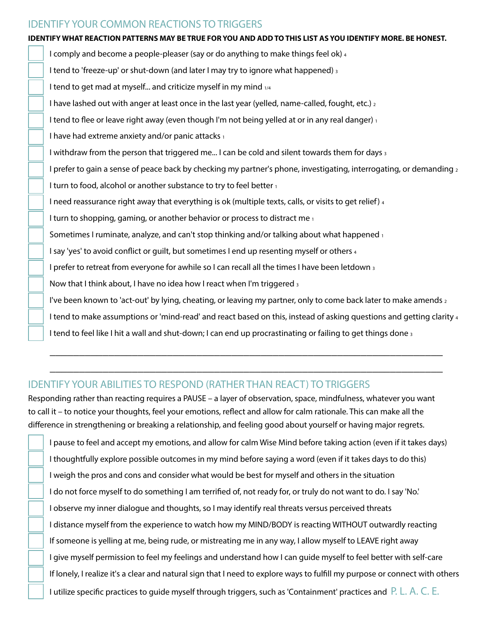#### IDENTIFY YOUR COMMON REACTIONS TO TRIGGERS

#### **IDENTIFY WHAT REACTION PATTERNS MAY BE TRUE FOR YOU AND ADD TO THIS LIST AS YOU IDENTIFY MORE. BE HONEST.**

I comply and become a people-pleaser (say or do anything to make things feel ok) 4 I tend to 'freeze-up' or shut-down (and later I may try to ignore what happened) 3 I tend to get mad at myself... and criticize myself in my mind  $1/4$ I have lashed out with anger at least once in the last year (yelled, name-called, fought, etc.) 2 I tend to flee or leave right away (even though I'm not being yelled at or in any real danger)  $_1$ I have had extreme anxiety and/or panic attacks 1 I withdraw from the person that triggered me... I can be cold and silent towards them for days 3 I prefer to gain a sense of peace back by checking my partner's phone, investigating, interrogating, or demanding  $2$ I turn to food, alcohol or another substance to try to feel better 1 I need reassurance right away that everything is ok (multiple texts, calls, or visits to get relief) 4 I turn to shopping, gaming, or another behavior or process to distract me 1 Sometimes I ruminate, analyze, and can't stop thinking and/or talking about what happened  $_1$ I say 'yes' to avoid conflict or guilt, but sometimes I end up resenting myself or others 4 I prefer to retreat from everyone for awhile so I can recall all the times I have been letdown 3 Now that I think about, I have no idea how I react when I'm triggered 3 I've been known to 'act-out' by lying, cheating, or leaving my partner, only to come back later to make amends 2 I tend to make assumptions or 'mind-read' and react based on this, instead of asking questions and getting clarity 4 I tend to feel like I hit a wall and shut-down; I can end up procrastinating or failing to get things done  $_3$ 

#### IDENTIFY YOUR ABILITIES TO RESPOND (RATHER THAN REACT) TO TRIGGERS

Responding rather than reacting requires a PAUSE – a layer of observation, space, mindfulness, whatever you want to call it – to notice your thoughts, feel your emotions, reflect and allow for calm rationale. This can make all the difference in strengthening or breaking a relationship, and feeling good about yourself or having major regrets.

 $\overline{\phantom{a}}$  , and the contract of the contract of the contract of the contract of the contract of the contract of the contract of the contract of the contract of the contract of the contract of the contract of the contrac

 $\overline{\phantom{a}}$  , and the contract of the contract of the contract of the contract of the contract of the contract of the contract of the contract of the contract of the contract of the contract of the contract of the contrac

I pause to feel and accept my emotions, and allow for calm Wise Mind before taking action (even if it takes days) I thoughtfully explore possible outcomes in my mind before saying a word (even if it takes days to do this) I weigh the pros and cons and consider what would be best for myself and others in the situation I do not force myself to do something I am terrified of, not ready for, or truly do not want to do. I say 'No.' I observe my inner dialogue and thoughts, so I may identify real threats versus perceived threats I distance myself from the experience to watch how my MIND/BODY is reacting WITHOUT outwardly reacting If someone is yelling at me, being rude, or mistreating me in any way, I allow myself to LEAVE right away I give myself permission to feel my feelings and understand how I can guide myself to feel better with self-care If lonely, I realize it's a clear and natural sign that I need to explore ways to fulfill my purpose or connect with others I utilize specific practices to guide myself through triggers, such as 'Containment' practices and P. L. A. C. E.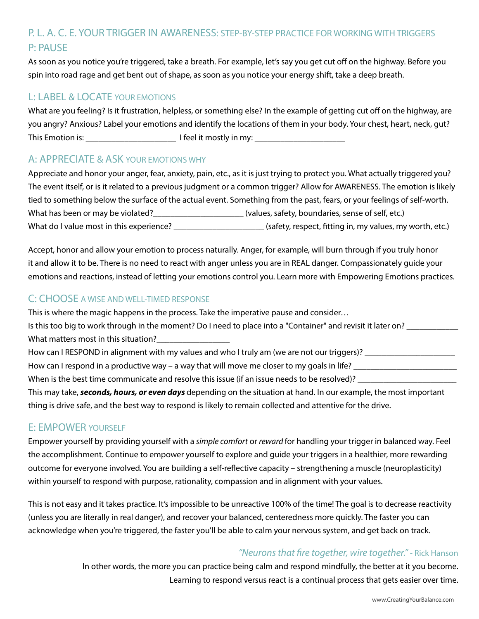# P. L. A. C. E. YOUR TRIGGER IN AWARENESS: STEP-BY-STEP PRACTICE FOR WORKING WITH TRIGGERS P: PAUSE

As soon as you notice you're triggered, take a breath. For example, let's say you get cut off on the highway. Before you spin into road rage and get bent out of shape, as soon as you notice your energy shift, take a deep breath.

## L: LABEL & LOCATE YOUR EMOTIONS

What are you feeling? Is it frustration, helpless, or something else? In the example of getting cut off on the highway, are you angry? Anxious? Label your emotions and identify the locations of them in your body. Your chest, heart, neck, gut? This Emotion is: \_\_\_\_\_\_\_\_\_\_\_\_\_\_\_\_\_\_\_\_\_ I feel it mostly in my: \_\_\_\_\_\_\_\_\_\_\_\_\_\_\_\_\_\_\_\_\_

#### A: APPRECIATE & ASK YOUR EMOTIONS WHY

Appreciate and honor your anger, fear, anxiety, pain, etc., as it is just trying to protect you. What actually triggered you? The event itself, or is it related to a previous judgment or a common trigger? Allow for AWARENESS. The emotion is likely tied to something below the surface of the actual event. Something from the past, fears, or your feelings of self-worth. What has been or may be violated?\_\_\_\_\_\_\_\_\_\_\_\_\_\_\_\_\_\_\_\_\_ (values, safety, boundaries, sense of self, etc.) What do I value most in this experience?  $\blacksquare$  (safety, respect, fitting in, my values, my worth, etc.)

Accept, honor and allow your emotion to process naturally. Anger, for example, will burn through if you truly honor it and allow it to be. There is no need to react with anger unless you are in REAL danger. Compassionately guide your emotions and reactions, instead of letting your emotions control you. Learn more with Empowering Emotions practices.

#### C: CHOOSE A WISE AND WELL-TIMED RESPONSE

This is where the magic happens in the process. Take the imperative pause and consider… Is this too big to work through in the moment? Do I need to place into a "Container" and revisit it later on? \_\_\_\_\_\_\_\_\_\_\_\_\_\_\_\_\_\_\_\_\_\_\_\_ What matters most in this situation? How can I RESPOND in alignment with my values and who I truly am (we are not our triggers)? \_\_\_\_\_\_\_\_\_\_\_\_\_\_\_\_\_ How can I respond in a productive way – a way that will move me closer to my goals in life? When is the best time communicate and resolve this issue (if an issue needs to be resolved)? This may take, *seconds, hours, or even days* depending on the situation at hand. In our example, the most important thing is drive safe, and the best way to respond is likely to remain collected and attentive for the drive.

#### E: EMPOWER YOURSELF

Empower yourself by providing yourself with a *simple comfort* or *reward* for handling your trigger in balanced way. Feel the accomplishment. Continue to empower yourself to explore and guide your triggers in a healthier, more rewarding outcome for everyone involved. You are building a self-reflective capacity – strengthening a muscle (neuroplasticity) within yourself to respond with purpose, rationality, compassion and in alignment with your values.

This is not easy and it takes practice. It's impossible to be unreactive 100% of the time! The goal is to decrease reactivity (unless you are literally in real danger), and recover your balanced, centeredness more quickly. The faster you can acknowledge when you're triggered, the faster you'll be able to calm your nervous system, and get back on track.

## *"Neurons that fire together, wire together."* - Rick Hanson

In other words, the more you can practice being calm and respond mindfully, the better at it you become. Learning to respond versus react is a continual process that gets easier over time.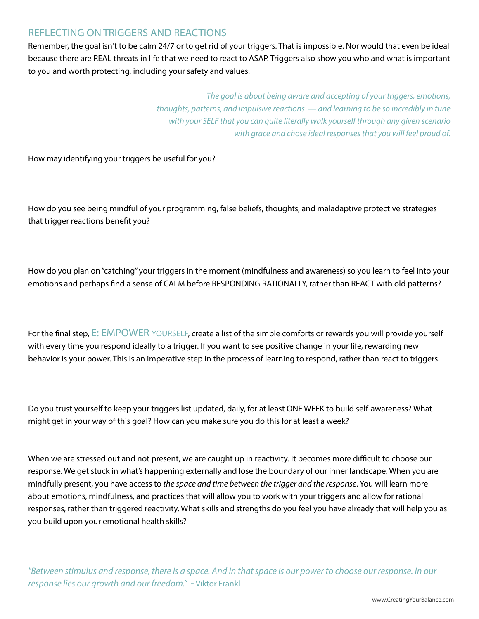## REFLECTING ON TRIGGERS AND REACTIONS

Remember, the goal isn't to be calm 24/7 or to get rid of your triggers. That is impossible. Nor would that even be ideal because there are REAL threats in life that we need to react to ASAP. Triggers also show you who and what is important to you and worth protecting, including your safety and values.

> *The goal is about being aware and accepting of your triggers, emotions, thoughts, patterns, and impulsive reactions — and learning to be so incredibly in tune with your SELF that you can quite literally walk yourself through any given scenario with grace and chose ideal responses that you will feel proud of.*

How may identifying your triggers be useful for you?

How do you see being mindful of your programming, false beliefs, thoughts, and maladaptive protective strategies that trigger reactions benefit you?

How do you plan on "catching" your triggers in the moment (mindfulness and awareness) so you learn to feel into your emotions and perhaps find a sense of CALM before RESPONDING RATIONALLY, rather than REACT with old patterns?

For the final step, E: EMPOWER YOURSELF, create a list of the simple comforts or rewards you will provide yourself with every time you respond ideally to a trigger. If you want to see positive change in your life, rewarding new behavior is your power. This is an imperative step in the process of learning to respond, rather than react to triggers.

Do you trust yourself to keep your triggers list updated, daily, for at least ONE WEEK to build self-awareness? What might get in your way of this goal? How can you make sure you do this for at least a week?

When we are stressed out and not present, we are caught up in reactivity. It becomes more difficult to choose our response. We get stuck in what's happening externally and lose the boundary of our inner landscape. When you are mindfully present, you have access to *the space and time between the trigger and the response*. You will learn more about emotions, mindfulness, and practices that will allow you to work with your triggers and allow for rational responses, rather than triggered reactivity. What skills and strengths do you feel you have already that will help you as you build upon your emotional health skills?

*"Between stimulus and response, there is a space. And in that space is our power to choose our response. In our response lies our growth and our freedom." -* Viktor Frankl